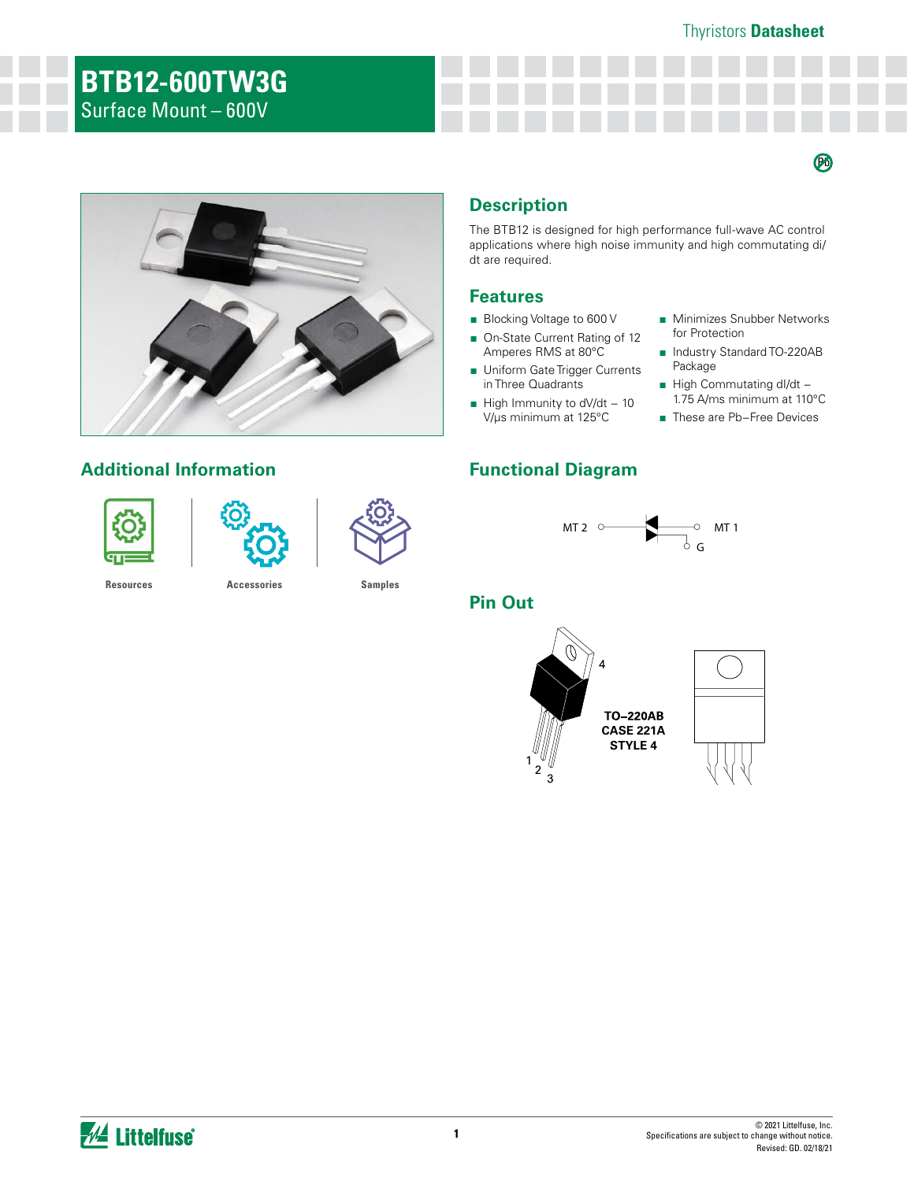#### Thyristors **Datasheet**

 $\boldsymbol{\varnothing}$ 

# **BTB12-600TW3G** Surface Mount – 600V



## **Additional Information Functional Diagram**





**[Resources](https://www.littelfuse.com/products/power-semiconductors/discrete-thyristors/triac/btb12-x00tw.aspx#ElectricalCharacteristics) [Accessories](https://www.littelfuse.com/products/power-semiconductors/discrete-thyristors/triac/btb12-x00tw.aspx#ElectricalCharacteristics) [Samples](https://www.littelfuse.com/products/power-semiconductors/discrete-thyristors/triac/btb12-x00tw.aspx#ElectricalCharacteristics)**

# **Description**

The BTB12 is designed for high performance full-wave AC control applications where high noise immunity and high commutating di/ dt are required.

### **Features**

- Blocking Voltage to 600 V
- On-State Current Rating of 12 Amperes RMS at 80°C
- Uniform Gate Trigger Currents in Three Quadrants
- High Immunity to dV/dt 10 V/µs minimum at 125°C

- Minimizes Snubber Networks for Protection
- Industry Standard TO-220AB Package
- High Commutating dl/dt -1.75 A/ms minimum at 110°C
- These are Pb-Free Devices



## **Pin Out**

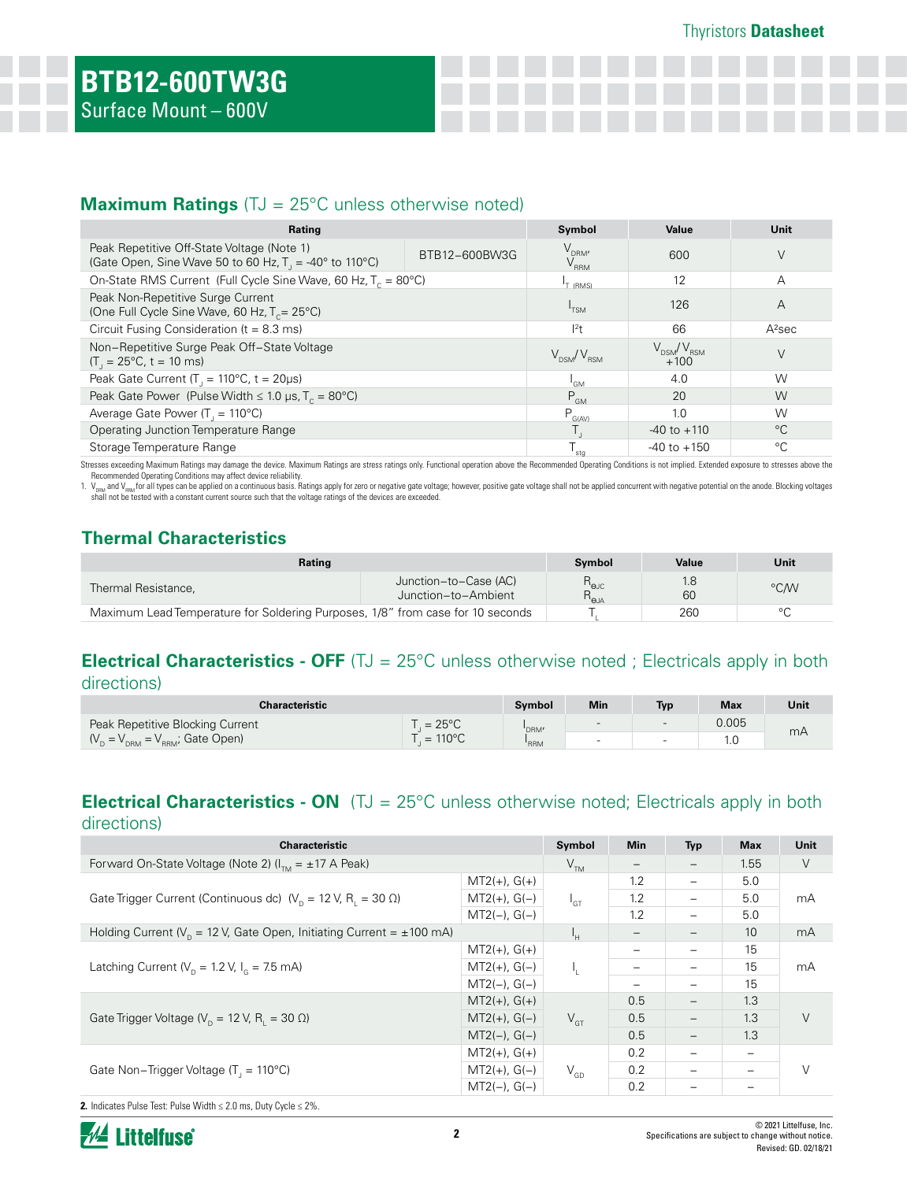## **Maximum Ratings** (TJ = 25°C unless otherwise noted)

| Rating                                                                                                       |               | Symbol                         | Value                                   | Unit               |
|--------------------------------------------------------------------------------------------------------------|---------------|--------------------------------|-----------------------------------------|--------------------|
| Peak Repetitive Off-State Voltage (Note 1)<br>(Gate Open, Sine Wave 50 to 60 Hz, $T_1 = -40^\circ$ to 110°C) | BTB12-600BW3G | $V_{DRM'}$<br>$\rm V_{_{RRM}}$ | 600                                     | V                  |
| On-State RMS Current (Full Cycle Sine Wave, 60 Hz, $T_c = 80^{\circ}$ C)                                     |               | <sup>1</sup> T (RMS)           | 12                                      | А                  |
| Peak Non-Repetitive Surge Current<br>(One Full Cycle Sine Wave, 60 Hz, $T_c = 25^{\circ}$ C)                 |               | 'TSM                           | 126                                     | Α                  |
| Circuit Fusing Consideration ( $t = 8.3$ ms)                                                                 |               | $ ^{2}$ t                      | 66                                      | A <sup>2</sup> sec |
| Non-Repetitive Surge Peak Off-State Voltage<br>$(T_{1} = 25^{\circ}C, t = 10 \text{ ms})$                    |               | $V_{DSM}/V_{BSM}$              | $\rm V_{\rm DSM}/V_{\rm RSM}$<br>$+100$ | V                  |
| Peak Gate Current ( $T_{\parallel}$ = 110°C, t = 20µs)                                                       |               | 'GM                            | 4.0                                     | W                  |
| Peak Gate Power (Pulse Width $\leq 1.0$ µs, T <sub>c</sub> = 80°C)                                           |               | $P_{GM}$                       | 20                                      | W                  |
| Average Gate Power ( $T = 110^{\circ}$ C)                                                                    |               | $P_{G(AV)}$                    | 1.0                                     | W                  |
| Operating Junction Temperature Range                                                                         |               |                                | $-40$ to $+110$                         | $^{\circ}C$        |
| Storage Temperature Range                                                                                    |               | stg                            | $-40$ to $+150$                         | °C                 |

Stresses exceeding Maximum Ratings may damage the device. Maximum Ratings are stress ratings only. Functional operation above the Recommended Operating Conditions is not implied. Extended exposure to stresses above the Recommended Operating Conditions may affect device reliability.

1. V<sub>DRM</sub> and V<sub>ERM</sub> for all types can be applied on a continuous basis. Ratings apply for zero or negative gate voltage; however, positive gate voltage shall not be applied concurrent with negative potential on the anode.

## **Thermal Characteristics**

| Rating                                                                         |                                              | Symbol                                                             | Value     | Unit    |
|--------------------------------------------------------------------------------|----------------------------------------------|--------------------------------------------------------------------|-----------|---------|
| Thermal Resistance,                                                            | Junction-to-Case (AC)<br>Junction-to-Ambient | $\mathsf{R}_{\scriptscriptstyle\Theta\text{JC}}$<br>$R_{\theta$ JA | 1.8<br>60 | °C/W    |
| Maximum Lead Temperature for Soldering Purposes, 1/8" from case for 10 seconds |                                              |                                                                    | 260       | $\circ$ |

### **Electrical Characteristics - OFF** (TJ = 25°C unless otherwise noted ; Electricals apply in both directions)

| <b>Characteristic</b>            |                  | Symbol | Min                      | <b>Typ</b> | <b>Max</b> | Unit |
|----------------------------------|------------------|--------|--------------------------|------------|------------|------|
| Peak Repetitive Blocking Current | $= 25^{\circ}$ C | 'DRM'  | $\overline{\phantom{0}}$ | $\sim$     | 0.005      |      |
| $(VD = VDRM = VRRM; Gate Open)$  | $= 110^{\circ}C$ | 'RRM   |                          | $\sim$     | 1.0        | mА   |

### **Electrical Characteristics - ON** (TJ = 25°C unless otherwise noted; Electricals apply in both directions)

| <b>Characteristic</b>                                                         |                | Symbol          | <b>Min</b>               | <b>Typ</b>               | <b>Max</b>       | Unit |
|-------------------------------------------------------------------------------|----------------|-----------------|--------------------------|--------------------------|------------------|------|
| Forward On-State Voltage (Note 2) $(I_{\tau_{M}} = \pm 17$ A Peak)            |                | V <sub>TM</sub> |                          | $\overline{\phantom{m}}$ | 1.55             | V    |
|                                                                               | $MT2(+), G(+)$ |                 | 1.2                      | $\overline{\phantom{m}}$ | 5.0              | mA   |
| Gate Trigger Current (Continuous dc) $(V_n = 12 V, R_1 = 30 \Omega)$          | $MT2(+), G(-)$ | $I_{GT}$        | 1.2                      | -                        | 5.0              |      |
|                                                                               | $MT2(-), G(-)$ |                 | 1.2                      | $\overline{\phantom{m}}$ | 5.0              |      |
| Holding Current ( $V_p = 12$ V, Gate Open, Initiating Current = $\pm 100$ mA) |                | Iн              | $\overline{\phantom{m}}$ | $\overline{\phantom{m}}$ | 10 <sup>10</sup> | mA   |
|                                                                               | $MT2(+), G(+)$ |                 | -                        | $\overline{\phantom{0}}$ | 15               | mA   |
| Latching Current ( $V_p = 1.2$ V, $I_q = 7.5$ mA)                             | $MT2(+), G(-)$ |                 | -                        |                          | 15               |      |
|                                                                               | $MT2(-), G(-)$ |                 | -                        | $\overline{\phantom{0}}$ | 15               |      |
|                                                                               | $MT2(+), G(+)$ |                 | 0.5                      | $\overline{\phantom{m}}$ | 1.3              |      |
| Gate Trigger Voltage ( $V_p = 12$ V, R <sub>1</sub> = 30 $\Omega$ )           | $MT2(+), G(-)$ | $V_{GT}$        | 0.5                      | $\overline{\phantom{m}}$ | 1.3              | V    |
|                                                                               | $MT2(-), G(-)$ |                 | 0.5                      |                          | 1.3              |      |
|                                                                               | $MT2(+), G(+)$ |                 | 0.2                      | $\qquad \qquad -$        |                  |      |
| Gate Non-Trigger Voltage $(T_1 = 110^{\circ}C)$                               | $MT2(+), G(-)$ | $V_{GD}$        | 0.2                      | $-$                      |                  | V    |
|                                                                               | $MT2(-), G(-)$ |                 | 0.2                      |                          |                  |      |

**2.** Indicates Pulse Test: Pulse Width ≤ 2.0 ms, Duty Cycle ≤ 2%.

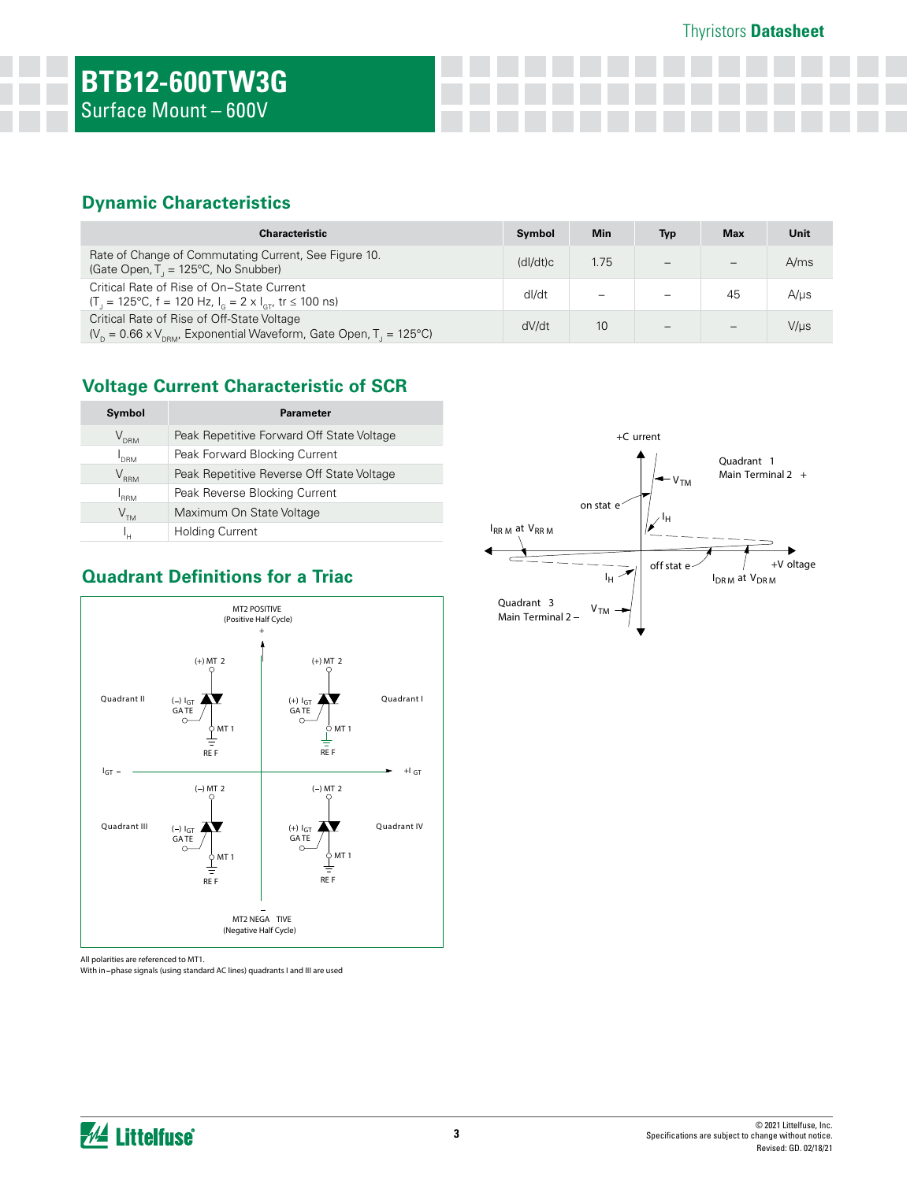Thyristors **Datasheet**

## **Dynamic Characteristics**

| <b>Characteristic</b>                                                                                                                       | Symbol   | <b>Min</b> | Typ                      | <b>Max</b> | Unit      |
|---------------------------------------------------------------------------------------------------------------------------------------------|----------|------------|--------------------------|------------|-----------|
| Rate of Change of Commutating Current, See Figure 10.<br>(Gate Open, $T_1 = 125^{\circ}C$ , No Snubber)                                     | (dI/dt)c | 1.75       |                          |            | A/ms      |
| Critical Rate of Rise of On-State Current<br>$(T_{\parallel} = 125^{\circ}C, f = 120 Hz, I_{\odot} = 2 \times I_{\odot}t$ tr $\leq 100$ ns) | dl/dt    |            | $\overline{\phantom{0}}$ | 45         | $A/\mu s$ |
| Critical Rate of Rise of Off-State Voltage<br>$(V_{p} = 0.66 \times V_{p}$ Exponential Waveform, Gate Open, T <sub>1</sub> = 125°C)         | dV/dt    | 10         | -                        |            | V/µs      |

## **Voltage Current Characteristic of SCR**

| Symbol           | <b>Parameter</b>                          |
|------------------|-------------------------------------------|
| $\rm V_{_{DRM}}$ | Peak Repetitive Forward Off State Voltage |
| I<br>DRM         | Peak Forward Blocking Current             |
| $\rm V_{_{RRM}}$ | Peak Repetitive Reverse Off State Voltage |
| $I_{\rm RRM}$    | Peak Reverse Blocking Current             |
| V <sub>TM</sub>  | Maximum On State Voltage                  |
| ı.,              | <b>Holding Current</b>                    |



## **Quadrant Definitions for a Triac**

All polarities are referenced to MT1.

With in phase signals (using standard AC lines) quadrants I and III are used



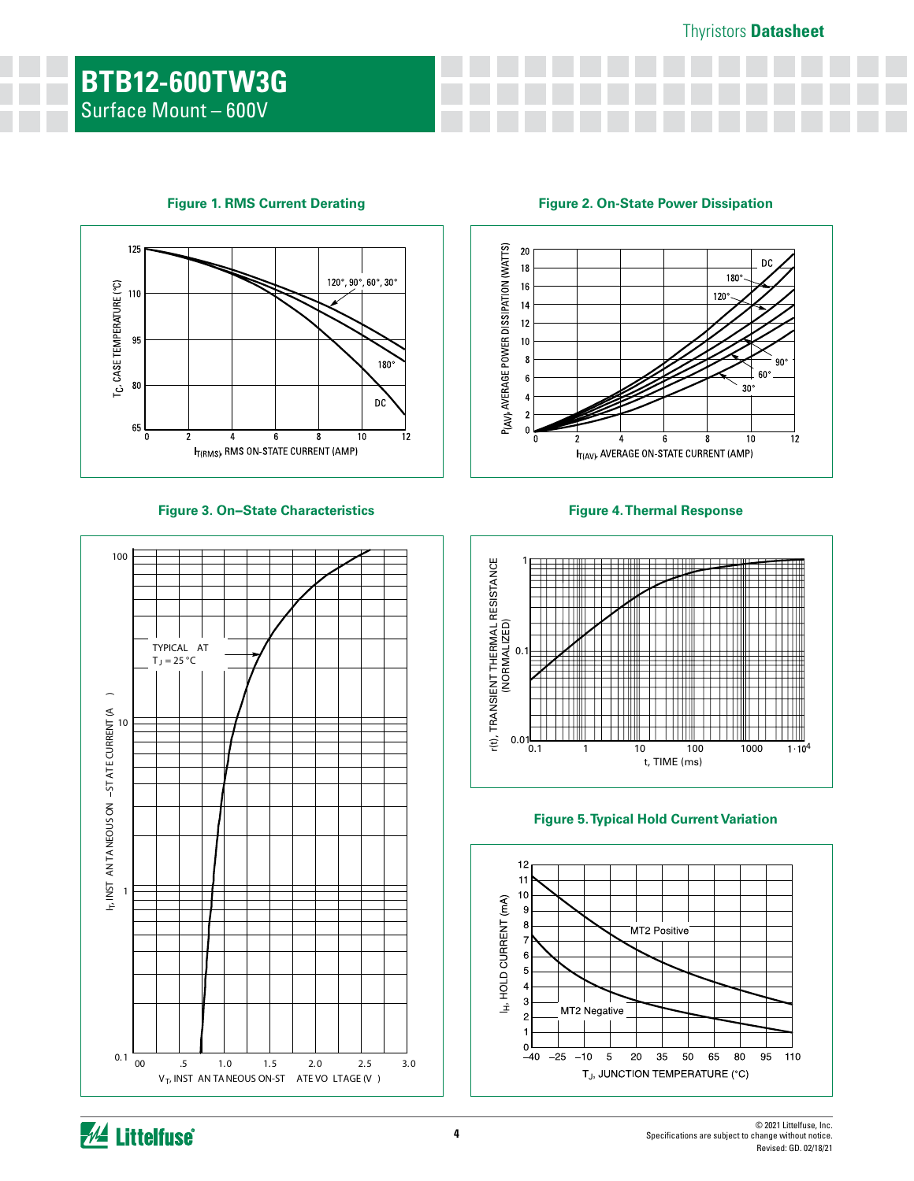#### Thyristors **Datasheet**



#### **Figure 3. On−State Characteristics**



**Figure 1. RMS Current Derating Figure 2. On-State Power Dissipation**



#### **Figure 4. Thermal Response**





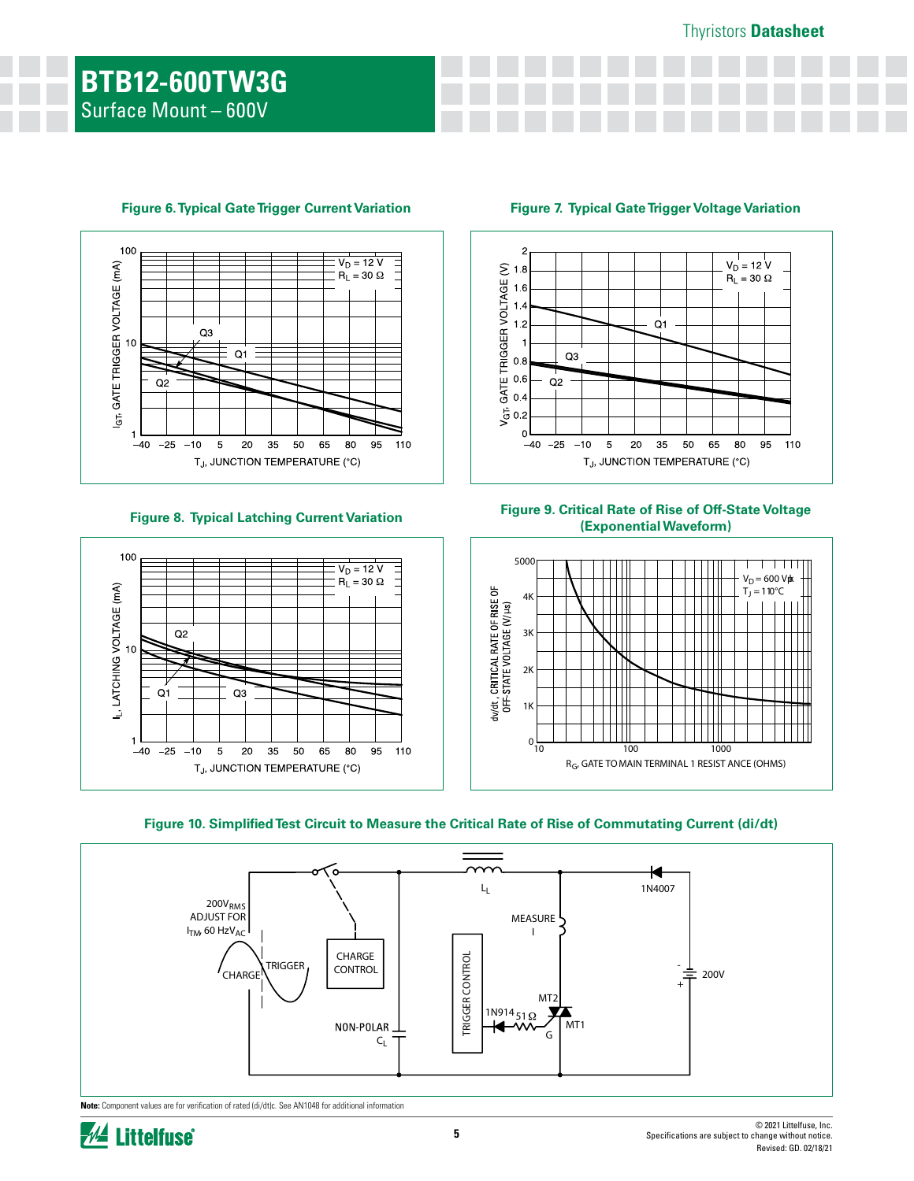

#### **Figure 6. Typical Gate Trigger Current Variation Figure 7. Typical Gate Trigger Voltage Variation**





**Figure 8. Typical Latching Current Variation Figure 9. Critical Rate of Rise of Off-State Voltage (Exponential Waveform)**







**Note:** Component values are for verification of rated (di/dt)c. See AN1048 for additional information